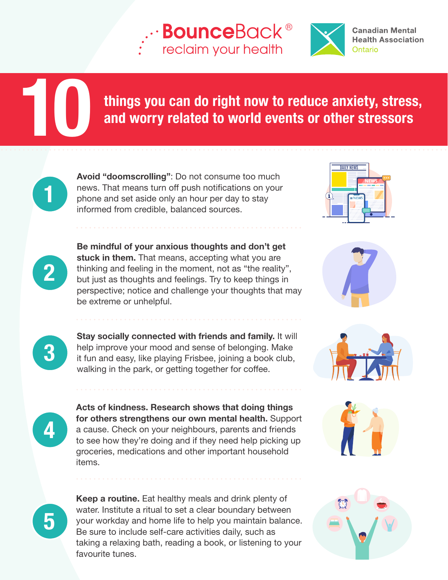## **BounceBack®** reclaim your health



**Canadian Mental Health Association** Ontario

## things you can do right now to reduce anxiety, stress, and worry related to world events or other stressors

Avoid "doomscrolling": Do not consume too much news. That means turn off push notifications on your phone and set aside only an hour per day to stay informed from credible, balanced sources.

Be mindful of your anxious thoughts and don't get stuck in them. That means, accepting what you are thinking and feeling in the moment, not as "the reality", but just as thoughts and feelings. Try to keep things in perspective; notice and challenge your thoughts that may be extreme or unhelpful.











2

1

10

3

4

5

Stay socially connected with friends and family. It will help improve your mood and sense of belonging. Make it fun and easy, like playing Frisbee, joining a book club, walking in the park, or getting together for coffee.

Acts of kindness. Research shows that doing things for others strengthens our own mental health. Support a cause. Check on your neighbours, parents and friends to see how they're doing and if they need help picking up groceries, medications and other important household items.

Keep a routine. Eat healthy meals and drink plenty of water. Institute a ritual to set a clear boundary between your workday and home life to help you maintain balance. Be sure to include self-care activities daily, such as taking a relaxing bath, reading a book, or listening to your favourite tunes.